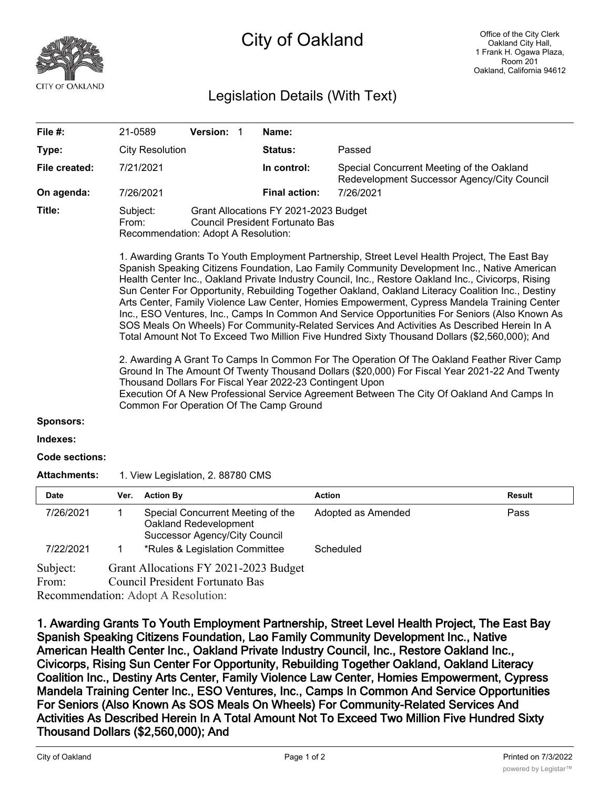

## City of Oakland

## Legislation Details (With Text)

| File $#$ :            | 21-0589                                                                                                                                                                                                                                                                                                                                                                                                                                                                                                                                                                                                                                                                                                                                                                                                                                                                                                                                                                                                                                                                                                                                                                                                         | Version: 1 |             | Name:                                                                                    |           |  |  |  |
|-----------------------|-----------------------------------------------------------------------------------------------------------------------------------------------------------------------------------------------------------------------------------------------------------------------------------------------------------------------------------------------------------------------------------------------------------------------------------------------------------------------------------------------------------------------------------------------------------------------------------------------------------------------------------------------------------------------------------------------------------------------------------------------------------------------------------------------------------------------------------------------------------------------------------------------------------------------------------------------------------------------------------------------------------------------------------------------------------------------------------------------------------------------------------------------------------------------------------------------------------------|------------|-------------|------------------------------------------------------------------------------------------|-----------|--|--|--|
| Type:                 | <b>City Resolution</b>                                                                                                                                                                                                                                                                                                                                                                                                                                                                                                                                                                                                                                                                                                                                                                                                                                                                                                                                                                                                                                                                                                                                                                                          |            |             | <b>Status:</b>                                                                           | Passed    |  |  |  |
| File created:         | 7/21/2021                                                                                                                                                                                                                                                                                                                                                                                                                                                                                                                                                                                                                                                                                                                                                                                                                                                                                                                                                                                                                                                                                                                                                                                                       |            | In control: | Special Concurrent Meeting of the Oakland<br>Redevelopment Successor Agency/City Council |           |  |  |  |
| On agenda:            | 7/26/2021                                                                                                                                                                                                                                                                                                                                                                                                                                                                                                                                                                                                                                                                                                                                                                                                                                                                                                                                                                                                                                                                                                                                                                                                       |            |             | <b>Final action:</b>                                                                     | 7/26/2021 |  |  |  |
| Title:                | Grant Allocations FY 2021-2023 Budget<br>Subject:<br>Council President Fortunato Bas<br>From:<br>Recommendation: Adopt A Resolution:                                                                                                                                                                                                                                                                                                                                                                                                                                                                                                                                                                                                                                                                                                                                                                                                                                                                                                                                                                                                                                                                            |            |             |                                                                                          |           |  |  |  |
|                       | 1. Awarding Grants To Youth Employment Partnership, Street Level Health Project, The East Bay<br>Spanish Speaking Citizens Foundation, Lao Family Community Development Inc., Native American<br>Health Center Inc., Oakland Private Industry Council, Inc., Restore Oakland Inc., Civicorps, Rising<br>Sun Center For Opportunity, Rebuilding Together Oakland, Oakland Literacy Coalition Inc., Destiny<br>Arts Center, Family Violence Law Center, Homies Empowerment, Cypress Mandela Training Center<br>Inc., ESO Ventures, Inc., Camps In Common And Service Opportunities For Seniors (Also Known As<br>SOS Meals On Wheels) For Community-Related Services And Activities As Described Herein In A<br>Total Amount Not To Exceed Two Million Five Hundred Sixty Thousand Dollars (\$2,560,000); And<br>2. Awarding A Grant To Camps In Common For The Operation Of The Oakland Feather River Camp<br>Ground In The Amount Of Twenty Thousand Dollars (\$20,000) For Fiscal Year 2021-22 And Twenty<br>Thousand Dollars For Fiscal Year 2022-23 Contingent Upon<br>Execution Of A New Professional Service Agreement Between The City Of Oakland And Camps In<br>Common For Operation Of The Camp Ground |            |             |                                                                                          |           |  |  |  |
| <b>Sponsors:</b>      |                                                                                                                                                                                                                                                                                                                                                                                                                                                                                                                                                                                                                                                                                                                                                                                                                                                                                                                                                                                                                                                                                                                                                                                                                 |            |             |                                                                                          |           |  |  |  |
| Indexes:              |                                                                                                                                                                                                                                                                                                                                                                                                                                                                                                                                                                                                                                                                                                                                                                                                                                                                                                                                                                                                                                                                                                                                                                                                                 |            |             |                                                                                          |           |  |  |  |
| <b>Code sections:</b> |                                                                                                                                                                                                                                                                                                                                                                                                                                                                                                                                                                                                                                                                                                                                                                                                                                                                                                                                                                                                                                                                                                                                                                                                                 |            |             |                                                                                          |           |  |  |  |
| <b>Attachments:</b>   | 1. View Legislation, 2. 88780 CMS                                                                                                                                                                                                                                                                                                                                                                                                                                                                                                                                                                                                                                                                                                                                                                                                                                                                                                                                                                                                                                                                                                                                                                               |            |             |                                                                                          |           |  |  |  |

| <b>Date</b> | Ver. | <b>Action By</b>                                                                                   | <b>Action</b>      | Result |  |  |  |
|-------------|------|----------------------------------------------------------------------------------------------------|--------------------|--------|--|--|--|
| 7/26/2021   |      | Special Concurrent Meeting of the<br>Oakland Redevelopment<br><b>Successor Agency/City Council</b> | Adopted as Amended | Pass   |  |  |  |
| 7/22/2021   |      | *Rules & Legislation Committee                                                                     | Scheduled          |        |  |  |  |
| Subject:    |      | Grant Allocations FY 2021-2023 Budget                                                              |                    |        |  |  |  |
| From:       |      | <b>Council President Fortunato Bas</b>                                                             |                    |        |  |  |  |
|             |      | $Dogommondation: \Lambda$ dont $\Lambda$ Desolution:                                               |                    |        |  |  |  |

Recommendation: Adopt A Resolution:

**1. Awarding Grants To Youth Employment Partnership, Street Level Health Project, The East Bay Spanish Speaking Citizens Foundation, Lao Family Community Development Inc., Native American Health Center Inc., Oakland Private Industry Council, Inc., Restore Oakland Inc., Civicorps, Rising Sun Center For Opportunity, Rebuilding Together Oakland, Oakland Literacy Coalition Inc., Destiny Arts Center, Family Violence Law Center, Homies Empowerment, Cypress Mandela Training Center Inc., ESO Ventures, Inc., Camps In Common And Service Opportunities For Seniors (Also Known As SOS Meals On Wheels) For Community-Related Services And Activities As Described Herein In A Total Amount Not To Exceed Two Million Five Hundred Sixty Thousand Dollars (\$2,560,000); And**